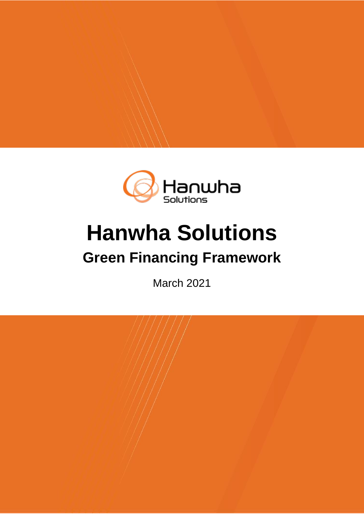

# **Hanwha Solutions**

# **Green Financing Framework**

March 2021

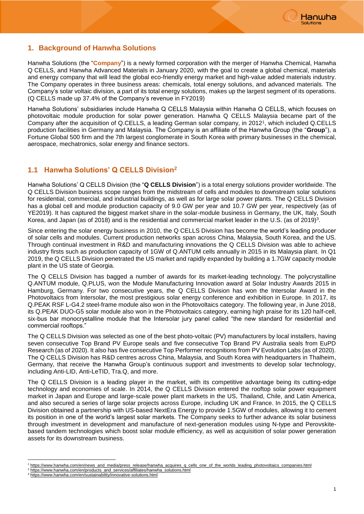

# **1. Background of Hanwha Solutions**

Hanwha Solutions (the "**Company**") is a newly formed corporation with the merger of Hanwha Chemical, Hanwha Q CELLS, and Hanwha Advanced Materials in January 2020, with the goal to create a global chemical, materials and energy company that will lead the global eco-friendly energy market and high-value added materials industry. The Company operates in three business areas: chemicals, total energy solutions, and advanced materials. The Company's solar voltaic division, a part of its total energy solutions, makes up the largest segment of its operations. (Q CELLS made up 37.4% of the Company's revenue in FY2019)

Hanwha Solutions' subsidiaries include Hanwha Q CELLS Malaysia within Hanwha Q CELLS, which focuses on photovoltaic module production for solar power generation. Hanwha Q CELLS Malaysia became part of the Company after the acquisition of Q.CELLS, a leading German solar company, in 2012<sup>1</sup>, which included Q.CELLS production facilities in Germany and Malaysia. The Company is an affiliate of the Hanwha Group (the "**Group**"), a Fortune Global 500 firm and the 7th largest conglomerate in South Korea with primary businesses in the chemical, aerospace, mechatronics, solar energy and finance sectors.

# **1.1 Hanwha Solutions' Q CELLS Division<sup>2</sup>**

Hanwha Solutions' Q CELLS Division (the "**Q CELLS Division**") is a total energy solutions provider worldwide. The Q CELLS Division business scope ranges from the midstream of cells and modules to downstream solar solutions for residential, commercial, and industrial buildings, as well as for large solar power plants. The Q CELLS Division has a global cell and module production capacity of 9.0 GW per year and 10.7 GW per year, respectively (as of YE2019). It has captured the biggest market share in the solar-module business in Germany, the UK, Italy, South Korea, and Japan (as of 2018) and is the residential and commercial market leader in the U.S. (as of 2019)<sup>3</sup>.

Since entering the solar energy business in 2010, the Q CELLS Division has become the world's leading producer of solar cells and modules. Current production networks span across China, Malaysia, South Korea, and the US. Through continual investment in R&D and manufacturing innovations the Q CELLS Division was able to achieve industry firsts such as production capacity of 1GW of Q.ANTUM cells annually in 2015 in its Malaysia plant. In Q1 2019, the Q CELLS Division penetrated the US market and rapidly expanded by building a 1.7GW capacity module plant in the US state of Georgia.

The Q CELLS Division has bagged a number of awards for its market-leading technology. The polycrystalline Q.ANTUM module, Q.PLUS, won the Module Manufacturing Innovation award at Solar Industry Awards 2015 in Hamburg, Germany. For two consecutive years, the Q CELLS Division has won the Intersolar Award in the Photovoltaics from Intersolar, the most prestigious solar energy conference and exhibition in Europe. In 2017, its Q.PEAK RSF L-G4.2 steel-frame module also won in the Photovoltaics category. The following year, in June 2018, its Q.PEAK DUO-G5 solar module also won in the Photovoltaics category, earning high praise for its 120 half-cell, six-bus bar monocrystalline module that the Intersolar jury panel called "the new standard for residential and commercial rooftops."

The Q CELLS Division was selected as one of the best photo-voltaic (PV) manufacturers by local installers, having seven consecutive Top Brand PV Europe seals and five consecutive Top Brand PV Australia seals from EuPD Research (as of 2020). It also has five consecutive Top Performer recognitions from PV Evolution Labs (as of 2020). The Q CELLS Division has R&D centres across China, Malaysia, and South Korea with headquarters in Thalheim, Germany, that receive the Hanwha Group's continuous support and investments to develop solar technology, including Anti-LID, Anti-LeTID, Tra.Q, and more.

The Q CELLS Division is a leading player in the market, with its competitive advantage being its cutting-edge technology and economies of scale. In 2014, the Q CELLS Division entered the rooftop solar power equipment market in Japan and Europe and large-scale power plant markets in the US, Thailand, Chile, and Latin America, and also secured a series of large solar projects across Europe, including UK and France. In 2015, the Q CELLS Division obtained a partnership with US-based NextEra Energy to provide 1.5GW of modules, allowing it to cement its position in one of the world's largest solar markets. The Company seeks to further advance its solar business through investment in development and manufacture of next-generation modules using N-type and Perovskitebased tandem technologies which boost solar module efficiency, as well as acquisition of solar power generation assets for its downstream business.

-

<sup>1</sup> [https://www.hanwha.com/en/news\\_and\\_media/press\\_release/hanwha\\_acquires\\_q\\_cells\\_one\\_of\\_the\\_worlds\\_leading\\_photovoltaics\\_companies.html](https://www.hanwha.com/en/news_and_media/press_release/hanwha_acquires_q_cells_one_of_the_worlds_leading_photovoltaics_companies.html)

<sup>2</sup> [https://www.hanwha.com/en/products\\_and\\_services/affiliates/hanwha\\_solutions.html](https://www.hanwha.com/en/products_and_services/affiliates/hanwha_solutions.html)

<sup>3</sup> <https://www.hanwha.com/en/sustainability/innovative-solutions.html>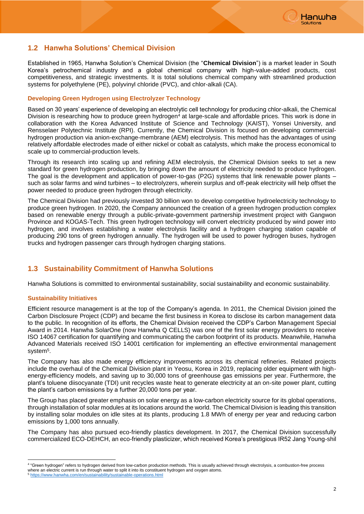

# **1.2 Hanwha Solutions' Chemical Division**

Established in 1965, Hanwha Solution's Chemical Division (the "**Chemical Division**") is a market leader in South Korea's petrochemical industry and a global chemical company with high-value-added products, cost competitiveness, and strategic investments. It is total solutions chemical company with streamlined production systems for polyethylene (PE), polyvinyl chloride (PVC), and chlor-alkali (CA).

#### **Developing Green Hydrogen using Electrolyzer Technology**

Based on 30 years' experience of developing an electrolytic cell technology for producing chlor-alkali, the Chemical Division is researching how to produce green hydrogen<sup>4</sup> at large-scale and affordable prices. This work is done in collaboration with the Korea Advanced Institute of Science and Technology (KAIST), Yonsei University, and Rensselaer Polytechnic Institute (RPI). Currently, the Chemical Division is focused on developing commercialhydrogen production via anion-exchange-membrane (AEM) electrolysis. This method has the advantages of using relatively affordable electrodes made of either nickel or cobalt as catalysts, which make the process economical to scale up to commercial-production levels.

Through its research into scaling up and refining AEM electrolysis, the Chemical Division seeks to set a new standard for green hydrogen production, by bringing down the amount of electricity needed to produce hydrogen. The goal is the development and application of power-to-gas (P2G) systems that link renewable power plants – such as solar farms and wind turbines – to electrolyzers, wherein surplus and off-peak electricity will help offset the power needed to produce green hydrogen through electricity.

The Chemical Division had previously invested 30 billion won to develop competitive hydroelectricity technology to produce green hydrogen. In 2020, the Company announced the creation of a green hydrogen production complex based on renewable energy through a public-private-government partnership investment project with Gangwon Province and KOGAS-Tech. This green hydrogen technology will convert electricity produced by wind power into hydrogen, and involves establishing a water electrolysis facility and a hydrogen charging station capable of producing 290 tons of green hydrogen annually. The hydrogen will be used to power hydrogen buses, hydrogen trucks and hydrogen passenger cars through hydrogen charging stations.

# **1.3 Sustainability Commitment of Hanwha Solutions**

Hanwha Solutions is committed to environmental sustainability, social sustainability and economic sustainability.

#### **Sustainability Initiatives**

-

Efficient resource management is at the top of the Company's agenda. In 2011, the Chemical Division joined the Carbon Disclosure Project (CDP) and became the first business in Korea to disclose its carbon management data to the public. In recognition of its efforts, the Chemical Division received the CDP's Carbon Management Special Award in 2014. Hanwha SolarOne (now Hanwha Q CELLS) was one of the first solar energy providers to receive ISO 14067 certification for quantifying and communicating the carbon footprint of its products. Meanwhile, Hanwha Advanced Materials received ISO 14001 certification for implementing an effective environmental management system<sup>5</sup>.

The Company has also made energy efficiency improvements across its chemical refineries. Related projects include the overhaul of the Chemical Division plant in Yeosu, Korea in 2019, replacing older equipment with highenergy-efficiency models, and saving up to 30,000 tons of greenhouse gas emissions per year. Furthermore, the plant's toluene diisocyanate (TDI) unit recycles waste heat to generate electricity at an on-site power plant, cutting the plant's carbon emissions by a further 20,000 tons per year.

The Group has placed greater emphasis on solar energy as a low-carbon electricity source for its global operations, through installation of solar modules at its locations around the world. The Chemical Division is leading this transition by installing solar modules on idle sites at its plants, producing 1.8 MWh of energy per year and reducing carbon emissions by 1,000 tons annually.

The Company has also pursued eco-friendly plastics development. In 2017, the Chemical Division successfully commercialized ECO-DEHCH, an eco-friendly plasticizer, which received Korea's prestigious IR52 Jang Young-shil

<sup>4</sup> "Green hydrogen" refers to hydrogen derived from low-carbon production methods. This is usually achieved through electrolysis, a combustion-free process where an electric current is run through water to split it into its constituent hydrogen and oxygen atoms.

<https://www.hanwha.com/en/sustainability/sustainable-operations.html>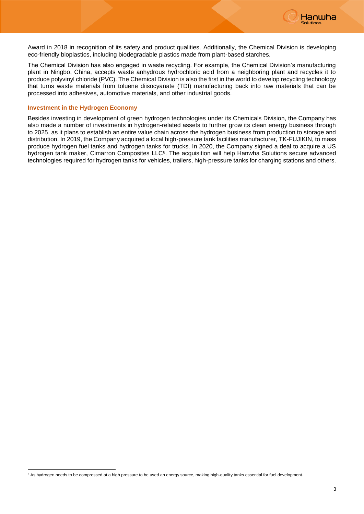

Award in 2018 in recognition of its safety and product qualities. Additionally, the Chemical Division is developing eco-friendly bioplastics, including biodegradable plastics made from plant-based starches.

The Chemical Division has also engaged in waste recycling. For example, the Chemical Division's manufacturing plant in Ningbo, China, accepts waste anhydrous hydrochloric acid from a neighboring plant and recycles it to produce polyvinyl chloride (PVC). The Chemical Division is also the first in the world to develop recycling technology that turns waste materials from toluene diisocyanate (TDI) manufacturing back into raw materials that can be processed into adhesives, automotive materials, and other industrial goods.

#### **Investment in the Hydrogen Economy**

-

Besides investing in development of green hydrogen technologies under its Chemicals Division, the Company has also made a number of investments in hydrogen-related assets to further grow its clean energy business through to 2025, as it plans to establish an entire value chain across the hydrogen business from production to storage and distribution. In 2019, the Company acquired a local high-pressure tank facilities manufacturer, TK-FUJIKIN, to mass produce hydrogen fuel tanks and hydrogen tanks for trucks. In 2020, the Company signed a deal to acquire a US hydrogen tank maker, Cimarron Composites LLC<sup>6</sup>. The acquisition will help Hanwha Solutions secure advanced technologies required for hydrogen tanks for vehicles, trailers, high-pressure tanks for charging stations and others.

 $6$  As hydrogen needs to be compressed at a high pressure to be used an energy source, making high-quality tanks essential for fuel development.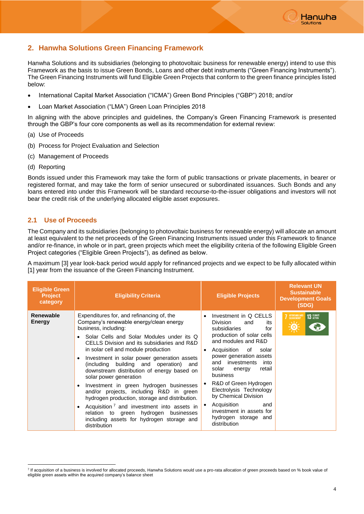

# **2. Hanwha Solutions Green Financing Framework**

Hanwha Solutions and its subsidiaries (belonging to photovoltaic business for renewable energy) intend to use this Framework as the basis to issue Green Bonds, Loans and other debt instruments ("Green Financing Instruments"). The Green Financing Instruments will fund Eligible Green Projects that conform to the green finance principles listed below:

- International Capital Market Association ("ICMA") Green Bond Principles ("GBP") 2018; and/or
- Loan Market Association ("LMA") Green Loan Principles 2018

In aligning with the above principles and guidelines, the Company's Green Financing Framework is presented through the GBP's four core components as well as its recommendation for external review:

- (a) Use of Proceeds
- (b) Process for Project Evaluation and Selection
- (c) Management of Proceeds
- (d) Reporting

Bonds issued under this Framework may take the form of public transactions or private placements, in bearer or registered format, and may take the form of senior unsecured or subordinated issuances. Such Bonds and any loans entered into under this Framework will be standard recourse-to-the-issuer obligations and investors will not bear the credit risk of the underlying allocated eligible asset exposures.

#### **2.1 Use of Proceeds**

The Company and its subsidiaries (belonging to photovoltaic business for renewable energy) will allocate an amount at least equivalent to the net proceeds of the Green Financing Instruments issued under this Framework to finance and/or re-finance, in whole or in part, green projects which meet the eligibility criteria of the following Eligible Green Project categories ("Eligible Green Projects"), as defined as below.

A maximum [3] year look-back period would apply for refinanced projects and we expect to be fully allocated within [1] year from the issuance of the Green Financing Instrument.

| <b>Eligible Green</b><br><b>Project</b><br>category | <b>Eligibility Criteria</b>                                                                                                                                                                                                                                                                                                                                                                                                                                                                                                                                                                                                                                                                                                                                        | <b>Eligible Projects</b>                                                                                                                                                                                                                                                                                                                                                                                                             | <b>Relevant UN</b><br><b>Sustainable</b><br><b>Development Goals</b><br>(SDG) |
|-----------------------------------------------------|--------------------------------------------------------------------------------------------------------------------------------------------------------------------------------------------------------------------------------------------------------------------------------------------------------------------------------------------------------------------------------------------------------------------------------------------------------------------------------------------------------------------------------------------------------------------------------------------------------------------------------------------------------------------------------------------------------------------------------------------------------------------|--------------------------------------------------------------------------------------------------------------------------------------------------------------------------------------------------------------------------------------------------------------------------------------------------------------------------------------------------------------------------------------------------------------------------------------|-------------------------------------------------------------------------------|
| Renewable<br>Energy                                 | Expenditures for, and refinancing of, the<br>Company's renewable energy/clean energy<br>business, including:<br>Solar Cells and Solar Modules under its Q<br>CELLS Division and its subsidiaries and R&D<br>in solar cell and module production<br>Investment in solar power generation assets<br>$\bullet$<br>(including building and operation) and<br>downstream distribution of energy based on<br>solar power generation<br>Investment in green hydrogen businesses<br>$\bullet$<br>and/or projects, including R&D in green<br>hydrogen production, storage and distribution.<br>Acquisition <sup>7</sup> and investment into assets in<br>$\bullet$<br>relation to green hydrogen<br>businesses<br>including assets for hydrogen storage and<br>distribution | Investment in Q CELLS<br>Division<br>and<br>its<br>subsidiaries<br>for<br>production of solar cells<br>and modules and R&D<br>Acquisition of<br>solar<br>٠<br>power generation assets<br>and investments<br>into<br>retail<br>solar<br>energy<br>business<br>R&D of Green Hydrogen<br>Electrolysis Technology<br>by Chemical Division<br>Acquisition<br>and<br>٠<br>investment in assets for<br>hydrogen storage and<br>distribution | <b>7</b> AFFORDABLE AND<br><b>13 GLIMATE</b><br>$\Delta \perp I$              |

<sup>-</sup>7 If acquisition of a business is involved for allocated proceeds, Hanwha Solutions would use a pro-rata allocation of green proceeds based on % book value of eligible green assets within the acquired company's balance sheet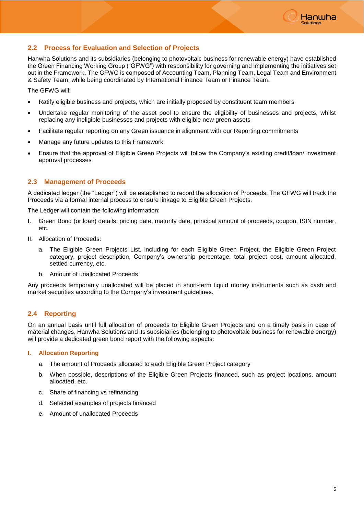

### **2.2 Process for Evaluation and Selection of Projects**

Hanwha Solutions and its subsidiaries (belonging to photovoltaic business for renewable energy) have established the Green Financing Working Group ("GFWG") with responsibility for governing and implementing the initiatives set out in the Framework. The GFWG is composed of Accounting Team, Planning Team, Legal Team and Environment & Safety Team, while being coordinated by International Finance Team or Finance Team.

The GFWG will:

- Ratify eligible business and projects, which are initially proposed by constituent team members
- Undertake regular monitoring of the asset pool to ensure the eligibility of businesses and projects, whilst replacing any ineligible businesses and projects with eligible new green assets
- Facilitate regular reporting on any Green issuance in alignment with our Reporting commitments
- Manage any future updates to this Framework
- Ensure that the approval of Eligible Green Projects will follow the Company's existing credit/loan/ investment approval processes

#### **2.3 Management of Proceeds**

A dedicated ledger (the "Ledger") will be established to record the allocation of Proceeds. The GFWG will track the Proceeds via a formal internal process to ensure linkage to Eligible Green Projects.

The Ledger will contain the following information:

- I. Green Bond (or loan) details: pricing date, maturity date, principal amount of proceeds, coupon, ISIN number, etc.
- II. Allocation of Proceeds:
	- a. The Eligible Green Projects List, including for each Eligible Green Project, the Eligible Green Project category, project description, Company's ownership percentage, total project cost, amount allocated, settled currency, etc.
	- b. Amount of unallocated Proceeds

Any proceeds temporarily unallocated will be placed in short-term liquid money instruments such as cash and market securities according to the Company's investment guidelines.

#### **2.4 Reporting**

On an annual basis until full allocation of proceeds to Eligible Green Projects and on a timely basis in case of material changes, Hanwha Solutions and its subsidiaries (belonging to photovoltaic business for renewable energy) will provide a dedicated green bond report with the following aspects:

#### **I. Allocation Reporting**

- a. The amount of Proceeds allocated to each Eligible Green Project category
- b. When possible, descriptions of the Eligible Green Projects financed, such as project locations, amount allocated, etc.
- c. Share of financing vs refinancing
- d. Selected examples of projects financed
- e. Amount of unallocated Proceeds